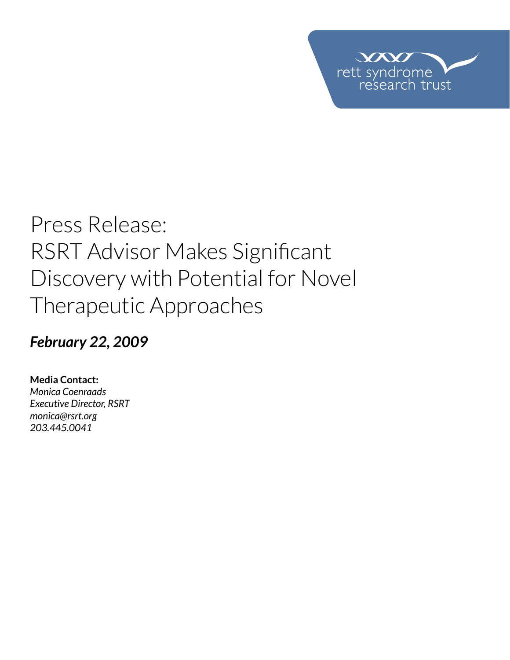

# Press Release: RSRT Advisor Makes Significant Discovery with Potential for Novel Therapeutic Approaches

### *February 22, 2009*

**Media Contact:**  *Monica Coenraads Executive Director, RSRT monica@rsrt.org 203.445.0041*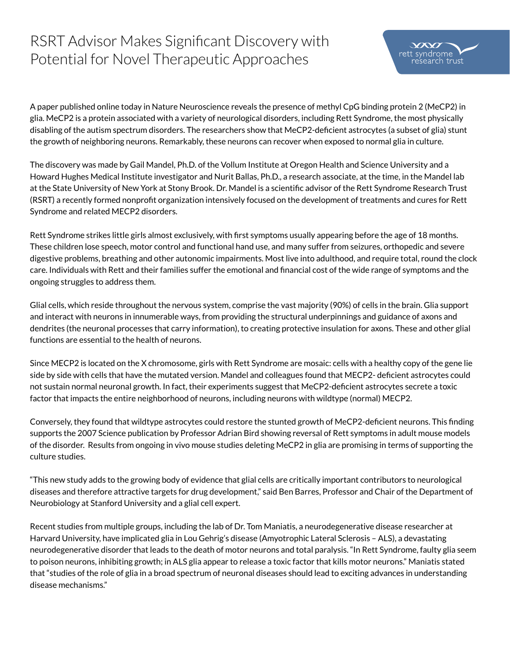## RSRT Advisor Makes Significant Discovery with Potential for Novel Therapeutic Approaches



 $VX$ 

A paper published online today in Nature Neuroscience reveals the presence of methyl CpG binding protein 2 (MeCP2) in glia. MeCP2 is a protein associated with a variety of neurological disorders, including Rett Syndrome, the most physically disabling of the autism spectrum disorders. The researchers show that MeCP2-deficient astrocytes (a subset of glia) stunt the growth of neighboring neurons. Remarkably, these neurons can recover when exposed to normal glia in culture.

The discovery was made by Gail Mandel, Ph.D. of the Vollum Institute at Oregon Health and Science University and a Howard Hughes Medical Institute investigator and Nurit Ballas, Ph.D., a research associate, at the time, in the Mandel lab at the State University of New York at Stony Brook. Dr. Mandel is a scientific advisor of the Rett Syndrome Research Trust (RSRT) a recently formed nonprofit organization intensively focused on the development of treatments and cures for Rett Syndrome and related MECP2 disorders.

Rett Syndrome strikes little girls almost exclusively, with first symptoms usually appearing before the age of 18 months. These children lose speech, motor control and functional hand use, and many suffer from seizures, orthopedic and severe digestive problems, breathing and other autonomic impairments. Most live into adulthood, and require total, round the clock care. Individuals with Rett and their families suffer the emotional and financial cost of the wide range of symptoms and the ongoing struggles to address them.

Glial cells, which reside throughout the nervous system, comprise the vast majority (90%) of cells in the brain. Glia support and interact with neurons in innumerable ways, from providing the structural underpinnings and guidance of axons and dendrites (the neuronal processes that carry information), to creating protective insulation for axons. These and other glial functions are essential to the health of neurons.

Since MECP2 is located on the X chromosome, girls with Rett Syndrome are mosaic: cells with a healthy copy of the gene lie side by side with cells that have the mutated version. Mandel and colleagues found that MECP2- deficient astrocytes could not sustain normal neuronal growth. In fact, their experiments suggest that MeCP2-deficient astrocytes secrete a toxic factor that impacts the entire neighborhood of neurons, including neurons with wildtype (normal) MECP2.

Conversely, they found that wildtype astrocytes could restore the stunted growth of MeCP2-deficient neurons. This finding supports the 2007 Science publication by Professor Adrian Bird showing reversal of Rett symptoms in adult mouse models of the disorder. Results from ongoing in vivo mouse studies deleting MeCP2 in glia are promising in terms of supporting the culture studies.

"This new study adds to the growing body of evidence that glial cells are critically important contributors to neurological diseases and therefore attractive targets for drug development," said Ben Barres, Professor and Chair of the Department of Neurobiology at Stanford University and a glial cell expert.

Recent studies from multiple groups, including the lab of Dr. Tom Maniatis, a neurodegenerative disease researcher at Harvard University, have implicated glia in Lou Gehrig's disease (Amyotrophic Lateral Sclerosis – ALS), a devastating neurodegenerative disorder that leads to the death of motor neurons and total paralysis. "In Rett Syndrome, faulty glia seem to poison neurons, inhibiting growth; in ALS glia appear to release a toxic factor that kills motor neurons." Maniatis stated that "studies of the role of glia in a broad spectrum of neuronal diseases should lead to exciting advances in understanding disease mechanisms."